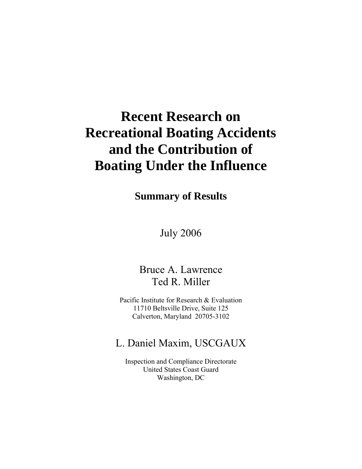# **Recent Research on Recreational Boating Accidents and the Contribution of Boating Under the Influence**

**Summary of Results** 

July 2006

Bruce A. Lawrence Ted R. Miller

Pacific Institute for Research & Evaluation 11710 Beltsville Drive, Suite 125 Calverton, Maryland 20705-3102

# L. Daniel Maxim, USCGAUX

Inspection and Compliance Directorate United States Coast Guard Washington, DC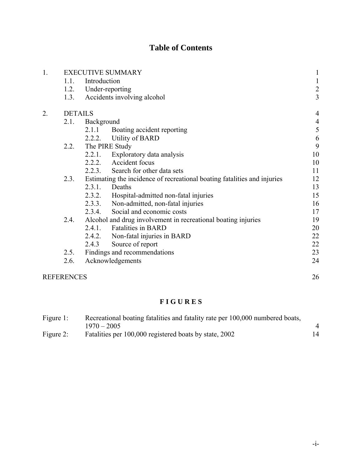## **Table of Contents**

| 1. | <b>EXECUTIVE SUMMARY</b> |                                                                          |                                             | $\mathbf{1}$   |
|----|--------------------------|--------------------------------------------------------------------------|---------------------------------------------|----------------|
|    | 1.1.                     | Introduction                                                             |                                             |                |
|    |                          | 1.2. Under-reporting                                                     |                                             |                |
|    | 1.3.                     | Accidents involving alcohol                                              |                                             |                |
| 2. | <b>DETAILS</b>           |                                                                          |                                             | $\overline{4}$ |
|    | 2.1.                     | Background                                                               |                                             | $\overline{4}$ |
|    |                          | 2.1.1                                                                    | Boating accident reporting                  | 5              |
|    |                          |                                                                          | 2.2.2. Utility of BARD                      | 6              |
|    | 2.2.                     | The PIRE Study                                                           |                                             | 9              |
|    |                          | 2.2.1.                                                                   | Exploratory data analysis                   | 10             |
|    |                          |                                                                          | 2.2.2. Accident focus                       | 10             |
|    |                          |                                                                          | 2.2.3. Search for other data sets           | 11             |
|    | 2.3.                     | Estimating the incidence of recreational boating fatalities and injuries |                                             | 12             |
|    |                          | 2.3.1.                                                                   | Deaths                                      | 13             |
|    |                          |                                                                          | 2.3.2. Hospital-admitted non-fatal injuries | 15             |
|    |                          |                                                                          | 2.3.3. Non-admitted, non-fatal injuries     | 16             |
|    |                          |                                                                          | 2.3.4. Social and economic costs            | 17             |
|    | 2.4.                     | Alcohol and drug involvement in recreational boating injuries            |                                             | 19             |
|    |                          |                                                                          | 2.4.1. Fatalities in BARD                   | 20             |
|    |                          |                                                                          | 2.4.2. Non-fatal injuries in BARD           | 22             |
|    |                          | 2.4.3                                                                    | Source of report                            | 22             |
|    | 2.5.                     | Findings and recommendations                                             |                                             | 23             |
|    | 2.6.                     | Acknowledgements                                                         |                                             | 24             |
|    | <b>REFERENCES</b>        |                                                                          |                                             |                |

## **F I G U R E S**

| Figure 1: | Recreational boating fatalities and fatality rate per 100,000 numbered boats, |    |  |  |
|-----------|-------------------------------------------------------------------------------|----|--|--|
|           | $1970 - 2005$                                                                 |    |  |  |
| Figure 2: | Fatalities per 100,000 registered boats by state, 2002                        | 14 |  |  |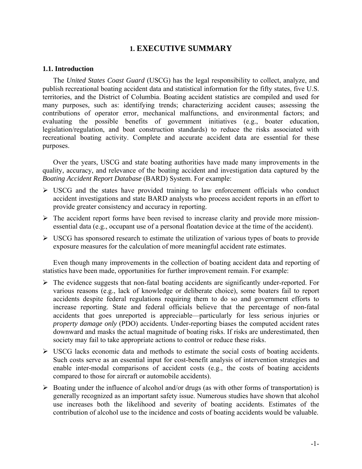## **1. EXECUTIVE SUMMARY**

#### **1.1. Introduction**

The *United States Coast Guard* (USCG) has the legal responsibility to collect, analyze, and publish recreational boating accident data and statistical information for the fifty states, five U.S. territories, and the District of Columbia. Boating accident statistics are compiled and used for many purposes, such as: identifying trends; characterizing accident causes; assessing the contributions of operator error, mechanical malfunctions, and environmental factors; and evaluating the possible benefits of government initiatives (e.g., boater education, legislation/regulation, and boat construction standards) to reduce the risks associated with recreational boating activity. Complete and accurate accident data are essential for these purposes.

Over the years, USCG and state boating authorities have made many improvements in the quality, accuracy, and relevance of the boating accident and investigation data captured by the *Boating Accident Report Database* (BARD) System. For example:

- $\triangleright$  USCG and the states have provided training to law enforcement officials who conduct accident investigations and state BARD analysts who process accident reports in an effort to provide greater consistency and accuracy in reporting.
- $\triangleright$  The accident report forms have been revised to increase clarity and provide more missionessential data (e.g., occupant use of a personal floatation device at the time of the accident).
- $\triangleright$  USCG has sponsored research to estimate the utilization of various types of boats to provide exposure measures for the calculation of more meaningful accident rate estimates.

Even though many improvements in the collection of boating accident data and reporting of statistics have been made, opportunities for further improvement remain. For example:

- $\triangleright$  The evidence suggests that non-fatal boating accidents are significantly under-reported. For various reasons (e.g., lack of knowledge or deliberate choice), some boaters fail to report accidents despite federal regulations requiring them to do so and government efforts to increase reporting. State and federal officials believe that the percentage of non-fatal accidents that goes unreported is appreciable—particularly for less serious injuries or *property damage only* (PDO) accidents. Under-reporting biases the computed accident rates downward and masks the actual magnitude of boating risks. If risks are underestimated, then society may fail to take appropriate actions to control or reduce these risks.
- $\triangleright$  USCG lacks economic data and methods to estimate the social costs of boating accidents. Such costs serve as an essential input for cost-benefit analysis of intervention strategies and enable inter-modal comparisons of accident costs (e.g., the costs of boating accidents compared to those for aircraft or automobile accidents).
- $\triangleright$  Boating under the influence of alcohol and/or drugs (as with other forms of transportation) is generally recognized as an important safety issue. Numerous studies have shown that alcohol use increases both the likelihood and severity of boating accidents. Estimates of the contribution of alcohol use to the incidence and costs of boating accidents would be valuable.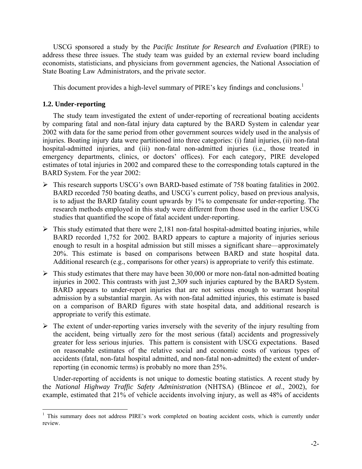USCG sponsored a study by the *Pacific Institute for Research and Evaluation* (PIRE) to address these three issues. The study team was guided by an external review board including economists, statisticians, and physicians from government agencies, the National Association of State Boating Law Administrators, and the private sector.

This document provides a high-level summary of PIRE's key findings and conclusions.<sup>[1](#page-3-0)</sup>

#### **1.2. Under-reporting**

 $\overline{a}$ 

The study team investigated the extent of under-reporting of recreational boating accidents by comparing fatal and non-fatal injury data captured by the BARD System in calendar year 2002 with data for the same period from other government sources widely used in the analysis of injuries. Boating injury data were partitioned into three categories: (i) fatal injuries, (ii) non-fatal hospital-admitted injuries, and (iii) non-fatal non-admitted injuries (i.e., those treated in emergency departments, clinics, or doctors' offices). For each category, PIRE developed estimates of total injuries in 2002 and compared these to the corresponding totals captured in the BARD System. For the year 2002:

- ¾ This research supports USCG's own BARD-based estimate of 758 boating fatalities in 2002. BARD recorded 750 boating deaths, and USCG's current policy, based on previous analysis, is to adjust the BARD fatality count upwards by 1% to compensate for under-reporting. The research methods employed in this study were different from those used in the earlier USCG studies that quantified the scope of fatal accident under-reporting.
- $\triangleright$  This study estimated that there were 2,181 non-fatal hospital-admitted boating injuries, while BARD recorded 1,752 for 2002. BARD appears to capture a majority of injuries serious enough to result in a hospital admission but still misses a significant share—approximately 20%. This estimate is based on comparisons between BARD and state hospital data. Additional research (e.g., comparisons for other years) is appropriate to verify this estimate.
- $\triangleright$  This study estimates that there may have been 30,000 or more non-fatal non-admitted boating injuries in 2002. This contrasts with just 2,309 such injuries captured by the BARD System. BARD appears to under-report injuries that are not serious enough to warrant hospital admission by a substantial margin. As with non-fatal admitted injuries, this estimate is based on a comparison of BARD figures with state hospital data, and additional research is appropriate to verify this estimate.
- $\triangleright$  The extent of under-reporting varies inversely with the severity of the injury resulting from the accident, being virtually zero for the most serious (fatal) accidents and progressively greater for less serious injuries. This pattern is consistent with USCG expectations. Based on reasonable estimates of the relative social and economic costs of various types of accidents (fatal, non-fatal hospital admitted, and non-fatal non-admitted) the extent of underreporting (in economic terms) is probably no more than 25%.

Under-reporting of accidents is not unique to domestic boating statistics. A recent study by the *National Highway Traffic Safety Administration* (NHTSA) (Blincoe *et al*., 2002), for example, estimated that 21% of vehicle accidents involving injury, as well as 48% of accidents

<span id="page-3-0"></span><sup>&</sup>lt;sup>1</sup> This summary does not address PIRE's work completed on boating accident costs, which is currently under review.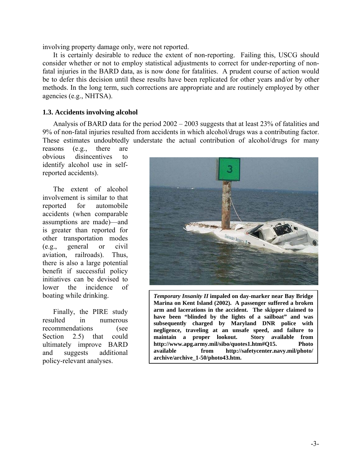involving property damage only, were not reported.

It is certainly desirable to reduce the extent of non-reporting. Failing this, USCG should consider whether or not to employ statistical adjustments to correct for under-reporting of nonfatal injuries in the BARD data, as is now done for fatalities. A prudent course of action would be to defer this decision until these results have been replicated for other years and/or by other methods. In the long term, such corrections are appropriate and are routinely employed by other agencies (e.g., NHTSA).

#### **1.3. Accidents involving alcohol**

Analysis of BARD data for the period 2002 – 2003 suggests that at least 23% of fatalities and 9% of non-fatal injuries resulted from accidents in which alcohol/drugs was a contributing factor. These estimates undoubtedly understate the actual contribution of alcohol/drugs for many

reasons (e.g., there are obvious disincentives to identify alcohol use in selfreported accidents).

The extent of alcohol involvement is similar to that reported for automobile accidents (when comparable assumptions are made)—and is greater than reported for other transportation modes (e.g., general or civil aviation, railroads). Thus, there is also a large potential benefit if successful policy initiatives can be devised to lower the incidence of boating while drinking.

Finally, the PIRE study resulted in numerous recommendations (see Section 2.5) that could ultimately improve BARD and suggests additional policy-relevant analyses.



*Temporary Insanity II* **impaled on day-marker near Bay Bridge Marina on Kent Island (2002). A passenger suffered a broken arm and lacerations in the accident. The skipper claimed to have been "blinded by the lights of a sailboat" and was subsequently charged by Maryland DNR police with negligence, traveling at an unsafe speed, and failure to maintain a proper lookout. Story available from http://www.apg.army.mil/sibo/quotes1.htm#Q15. Photo available from [http://safetycenter.navy.mil/photo/](http://safetycenter.navy.mil/photo/ archive/archive_1-50/photo43.htm) [archive/archive\\_1-50/photo43.htm](http://safetycenter.navy.mil/photo/ archive/archive_1-50/photo43.htm).**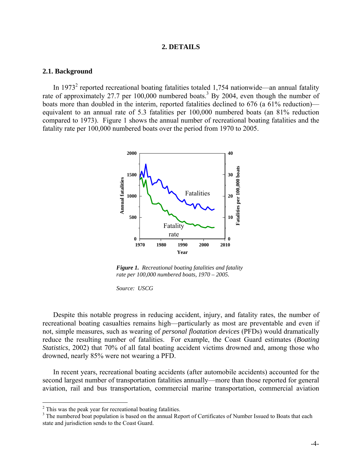#### **2. DETAILS**

#### **2.1. Background**

In 1973<sup>[2](#page-5-0)</sup> reported recreational boating fatalities totaled 1,754 nationwide—an annual fatality rate of approximately 27.7 per  $100,000$  numbered boats.<sup>[3](#page-5-1)</sup> By 2004, even though the number of boats more than doubled in the interim, reported fatalities declined to 676 (a 61% reduction) equivalent to an annual rate of 5.3 fatalities per 100,000 numbered boats (an 81% reduction compared to 1973). Figure 1 shows the annual number of recreational boating fatalities and the fatality rate per 100,000 numbered boats over the period from 1970 to 2005.



*Figure 1. Recreational boating fatalities and fatality rate per 100,000 numbered boats, 1970 – 2005.* 

*Source: USCG*

Despite this notable progress in reducing accident, injury, and fatality rates, the number of recreational boating casualties remains high—particularly as most are preventable and even if not, simple measures, such as wearing of *personal floatation devices* (PFDs) would dramatically reduce the resulting number of fatalities. For example, the Coast Guard estimates (*Boating Statistics*, 2002) that 70% of all fatal boating accident victims drowned and, among those who drowned, nearly 85% were not wearing a PFD.

In recent years, recreational boating accidents (after automobile accidents) accounted for the second largest number of transportation fatalities annually—more than those reported for general aviation, rail and bus transportation, commercial marine transportation, commercial aviation

1

<span id="page-5-0"></span> $^2$  This was the peak year for recreational boating fatalities.

<span id="page-5-1"></span><sup>&</sup>lt;sup>3</sup> The numbered boat population is based on the annual Report of Certificates of Number Issued to Boats that each state and jurisdiction sends to the Coast Guard.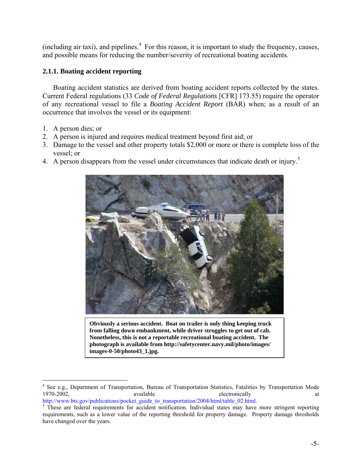$(including air taxi)$ , and pipelines. $4$  For this reason, it is important to study the frequency, causes, and possible means for reducing the number/severity of recreational boating accidents.

## **2.1.1. Boating accident reporting**

Boating accident statistics are derived from boating accident reports collected by the states. Current Federal regulations (33 *Code of Federal Regulations* [CFR] 173.55) require the operator of any recreational vessel to file a *Boating Accident Report* (BAR) when; as a result of an occurrence that involves the vessel or its equipment:

- 1. A person dies; or
- 2. A person is injured and requires medical treatment beyond first aid; or
- 3. Damage to the vessel and other property totals \$2,000 or more or there is complete loss of the vessel; or
- 4.A person disappears from the vessel under circumstances that indicate death or injury.<sup>5</sup>



**Obviously a serious accident. Boat on trailer is only thing keeping truck from falling down embankment, while driver struggles to get out of cab. Nonetheless, this is not a reportable recreational boating accident. The photograph is available from [http://safetycenter.navy.mil/photo/images/](http://safetycenter.navy.mil/photo/images/ images-0-50/photo43_1.jpg)  [images-0-50/photo43\\_1.jpg](http://safetycenter.navy.mil/photo/images/ images-0-50/photo43_1.jpg).** 

[http://www.bts.gov/publications/pocket\\_guide\\_to\\_transportation/2004/html/table\\_02.html.](http://www.bts.gov/publications/pocket_guide_to_transportation/2004/html/table_02.html)

<span id="page-6-0"></span><sup>1</sup> <sup>4</sup> See e.g., Department of Transportation, Bureau of Transportation Statistics, Fatalities by Transportation Mode 1970-2002, available electronically available electronically

<span id="page-6-1"></span><sup>&</sup>lt;sup>5</sup> These are federal requirements for accident notification. Individual states may have more stringent reporting requirements, such as a lower value of the reporting threshold for property damage. Property damage thresholds have changed over the years.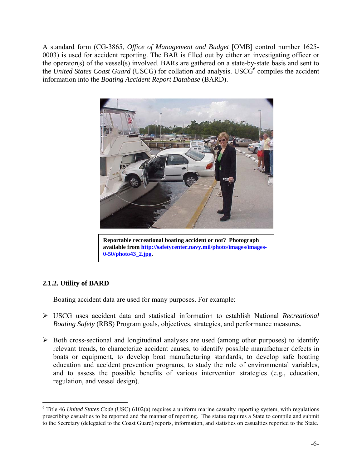A standard form (CG-3865, *Office of Management and Budget* [OMB] control number 1625- 0003) is used for accident reporting. The BAR is filled out by either an investigating officer or the operator(s) of the vessel(s) involved. BARs are gathered on a state-by-state basis and sent to the *United States Coast Guard* (USCG) for collation and analysis. USCG<sup>[6](#page-7-0)</sup> compiles the accident information into the *Boating Accident Report Database* (BARD).



**Reportable recreational boating accident or not? Photograph**  available from http://safetycenter.navy.mil/photo/images/images-0-50/photo43\_2.jpg.

## **2.1.2. Utility of BARD**

1

Boating accident data are used for many purposes. For example:

- ¾ USCG uses accident data and statistical information to establish National *Recreational Boating Safety* (RBS) Program goals, objectives, strategies, and performance measures.
- $\triangleright$  Both cross-sectional and longitudinal analyses are used (among other purposes) to identify relevant trends, to characterize accident causes, to identify possible manufacturer defects in boats or equipment, to develop boat manufacturing standards, to develop safe boating education and accident prevention programs, to study the role of environmental variables, and to assess the possible benefits of various intervention strategies (e.g., education, regulation, and vessel design).

<span id="page-7-0"></span> $6$  Title 46 *United States Code* (USC) 6102(a) requires a uniform marine casualty reporting system, with regulations prescribing casualties to be reported and the manner of reporting. The statue requires a State to compile and submit to the Secretary (delegated to the Coast Guard) reports, information, and statistics on casualties reported to the State.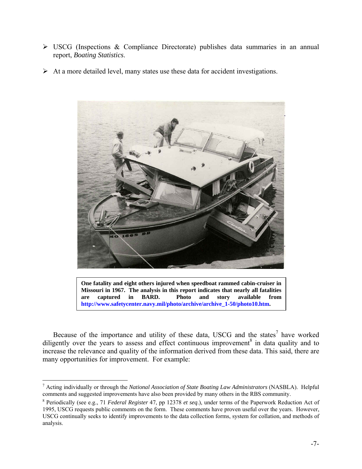- $\triangleright$  USCG (Inspections & Compliance Directorate) publishes data summaries in an annual report, *Boating Statistics*.
- $\triangleright$  At a more detailed level, many states use these data for accident investigations.



**One fatality and eight others injured when speedboat rammed cabin-cruiser in Missouri in 1967. The analysis in this report indicates that nearly all fatalities are captured in BARD. Photo and story available from**  http://www.safetycenter.navy.mil/photo/archive/archive\_1-50/photo10.htm.

Becauseof the importance and utility of these data, USCG and the states<sup>7</sup> have worked diligentlyover the years to assess and effect continuous improvement<sup>8</sup> in data quality and to increase the relevance and quality of the information derived from these data. This said, there are many opportunities for improvement. For example:

<span id="page-8-0"></span><sup>&</sup>lt;sup>7</sup> Acting individually or through the *National Association of State Boating Law Administrators* (NASBLA). Helpful comments and suggested improvements have also been provided by many others in the RBS community.

<span id="page-8-1"></span> $8$  Periodically (see e.g., 71 *Federal Register* 47, pp 12378 *et seq.*), under terms of the Paperwork Reduction Act of 1995, USCG requests public comments on the form. These comments have proven useful over the years. However, USCG continually seeks to identify improvements to the data collection forms, system for collation, and methods of analysis.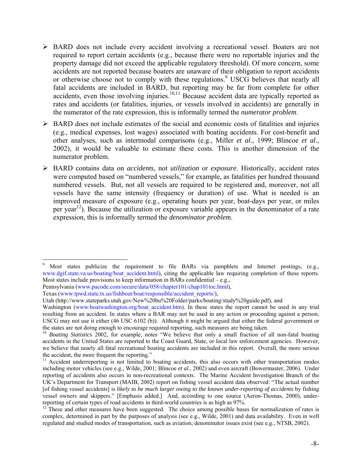- ¾ BARD does not include every accident involving a recreational vessel. Boaters are not required to report certain accidents (e.g., because there were no reportable injuries and the property damage did not exceed the applicable regulatory threshold). Of more concern, some accidents are not reported because boaters are unaware of their obligation to report accidents orotherwise choose not to comply with these regulations.<sup>9</sup> USCG believes that nearly all fatal accidents are included in BARD, but reporting may be far from complete for other accidents, even those involving injuries.<sup>[10](#page-9-1),[11](#page-9-2)</sup> Because accident data are typically reported as rates and accidents (or fatalities, injuries, or vessels involved in accidents) are generally in the numerator of the rate expression, this is informally termed the *numerator problem*.
- $\triangleright$  BARD does not include estimates of the social and economic costs of fatalities and injuries (e.g., medical expenses, lost wages) associated with boating accidents. For cost-benefit and other analyses, such as intermodal comparisons (e.g., Miller *et al.,* 1999; Blincoe *et al*., 2002), it would be valuable to estimate these costs. This is another dimension of the numerator problem.
- ¾ BARD contains data on *accidents*, not *utilization* or *exposure*. Historically, accident rates were computed based on "numbered vessels," for example, as fatalities per hundred thousand numbered vessels. But, not all vessels are required to be registered and, moreover, not all vessels have the same intensity (frequency or duration) of use. What is needed is an improved measure of exposure (e.g., operating hours per year, boat-days per year, or miles per year<sup>[12](#page-9-3)</sup>). Because the utilization or exposure variable appears in the denominator of a rate expression, this is informally termed the *denominator problem*.

<span id="page-9-0"></span><sup>1</sup> 9 Most states publicize the requirement to file BARs via pamphlets and Internet postings, (e.g., www.dgif.state.va.us/boating/boat\_accident.html), citing the applicable law requiring completion of these reports. Most states include provisions to keep information in BARs confidential – e.g.,

Pennsylvania (www.pacode.com/secure/data/058/chapter101/chap101toc.html),

Texas (www.tpwd.state.tx.us/fishboat/boat/responsible/accident\_reports/),

Utah (http://www.stateparks.utah.gov/New%20bu%20Folder/parks/boating/study%20guide.pdf), and

Washington (www.boatwashington.org/boat accident.htm). In these states the report cannot be used in any trial resulting from an accident. In states where a BAR may not be used in any action or proceeding against a person, USCG may not use it either (46 USC 6102 (b)). Although it might be argued that either the federal government or the states are not doing enough to encourage required reporting, such measures are being taken.

<span id="page-9-1"></span><sup>&</sup>lt;sup>10</sup> Boating Statistics 2002, for example, notes "We believe that only a small fraction of all non-fatal boating accidents in the United States are reported to the Coast Guard, State, or local law enforcement agencies. However, we believe that nearly all fatal recreational boating accidents are included in this report. Overall, the more serious the accident, the more frequent the reporting."

<span id="page-9-2"></span><sup>&</sup>lt;sup>11</sup> Accident underreporting is not limited to boating accidents, this also occurs with other transportation modes including motor vehicles (see e.g., Wilde, 2001; Blincoe *et al*., 2002) and even aircraft (Bowermaster, 2006). Under reporting of accidents also occurs in non-recreational contexts. The Marine Accident Investigation Branch of the UK's Department for Transport (MAIB, 2002) report on fishing vessel accident data observed: "The actual number [of fishing vessel accidents] is *likely to be much larger owing to the known under-reporting of accidents* by fishing vessel owners and skippers." [Emphasis added.] And, according to one source (Aeron-Thomas, 2000), underreporting of certain types of road accidents in third-world countries is as high as 97%.

<span id="page-9-3"></span><sup>&</sup>lt;sup>12</sup> These and other measures have been suggested. The choice among possible bases for normalization of rates is complex, determined in part by the purposes of analysis (see e.g., Wilde, 2001) and data availability. Even in well regulated and studied modes of transportation, such as aviation, denominator issues exist (see e.g., NTSB, 2002).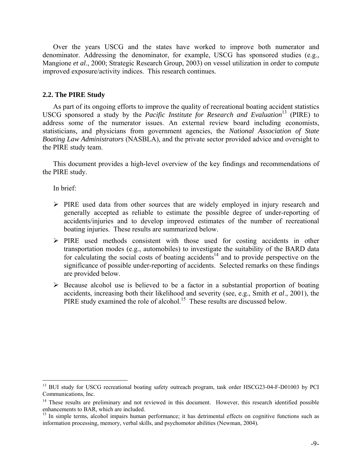Over the years USCG and the states have worked to improve both numerator and denominator. Addressing the denominator, for example, USCG has sponsored studies (e.g., Mangione *et al*., 2000; Strategic Research Group, 2003) on vessel utilization in order to compute improved exposure/activity indices. This research continues.

#### **2.2. The PIRE Study**

As part of its ongoing efforts to improve the quality of recreational boating accident statistics USCG sponsored a study by the *Pacific Institute for Research and Evaluation*<sup>[13](#page-10-0)</sup> (PIRE) to address some of the numerator issues. An external review board including economists, statisticians, and physicians from government agencies, the *National Association of State Boating Law Administrators* (NASBLA), and the private sector provided advice and oversight to the PIRE study team.

This document provides a high-level overview of the key findings and recommendations of the PIRE study.

In brief:

- $\triangleright$  PIRE used data from other sources that are widely employed in injury research and generally accepted as reliable to estimate the possible degree of under-reporting of accidents/injuries and to develop improved estimates of the number of recreational boating injuries. These results are summarized below.
- ¾ PIRE used methods consistent with those used for costing accidents in other transportation modes (e.g., automobiles) to investigate the suitability of the BARD data for calculating the social costs of boating accidents<sup>[14](#page-10-1)</sup> and to provide perspective on the significance of possible under-reporting of accidents. Selected remarks on these findings are provided below.
- $\triangleright$  Because alcohol use is believed to be a factor in a substantial proportion of boating accidents, increasing both their likelihood and severity (see, e.g., Smith *et al*., 2001), the PIRE study examined the role of alcohol.<sup>[15](#page-10-2)</sup> These results are discussed below.

<span id="page-10-0"></span><sup>&</sup>lt;sup>13</sup> BUI study for USCG recreational boating safety outreach program, task order HSCG23-04-F-D01003 by PCI Communications, Inc.

<span id="page-10-1"></span> $14$  These results are preliminary and not reviewed in this document. However, this research identified possible enhancements to BAR, which are included.

<span id="page-10-2"></span><sup>&</sup>lt;sup>15</sup> In simple terms, alcohol impairs human performance; it has detrimental effects on cognitive functions such as information processing, memory, verbal skills, and psychomotor abilities (Newman, 2004).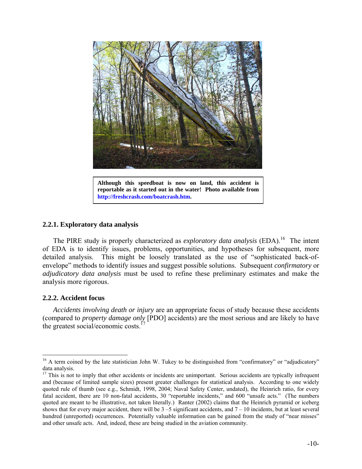

**Although this speedboat is now on land, this accident is reportable as it started out in the water! Photo available from [http://freshcrash.com/boatcrash.htm.](http://freshcrash.com/boatcrash.htm)** 

#### **2.2.1. Exploratory data analysis**

The PIRE study is properly characterized as *exploratory data analysis* (EDA).<sup>16</sup> The intent of EDA is to identify issues, problems, opportunities, and hypotheses for subsequent, more detailed analysis. This might be loosely translated as the use of "sophisticated back-ofenvelope" methods to identify issues and suggest possible solutions. Subsequent *confirmatory* or *adjudicatory data analysis* must be used to refine these preliminary estimates and make the analysis more rigorous.

#### **2.2.2. Accident focus**

 $\overline{a}$ 

*Accidents involving death or injury* are an appropriate focus of study because these accidents (compared to *property damage only* [PDO] accidents) are the most serious and are likely to have the greatest social/economic costs. $<sup>1</sup>$ </sup>

<span id="page-11-0"></span><sup>&</sup>lt;sup>16</sup> A term coined by the late statistician John W. Tukey to be distinguished from "confirmatory" or "adjudicatory" data analysis.

<span id="page-11-1"></span> $17$  This is not to imply that other accidents or incidents are unimportant. Serious accidents are typically infrequent and (because of limited sample sizes) present greater challenges for statistical analysis. According to one widely quoted rule of thumb (see e.g., Schmidt, 1998, 2004; Naval Safety Center, undated), the Heinrich ratio, for every fatal accident, there are 10 non-fatal accidents, 30 "reportable incidents," and 600 "unsafe acts." (The numbers quoted are meant to be illustrative, not taken literally.) Ranter (2002) claims that the Heinrich pyramid or iceberg shows that for every major accident, there will be  $3 - 5$  significant accidents, and  $7 - 10$  incidents, but at least several hundred (unreported) occurrences. Potentially valuable information can be gained from the study of "near misses" and other unsafe acts. And, indeed, these are being studied in the aviation community.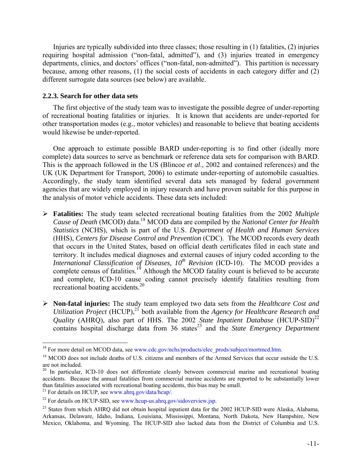Injuries are typically subdivided into three classes; those resulting in (1) fatalities, (2) injuries requiring hospital admission ("non-fatal, admitted"), and (3) injuries treated in emergency departments, clinics, and doctors' offices ("non-fatal, non-admitted"). This partition is necessary because, among other reasons, (1) the social costs of accidents in each category differ and (2) different surrogate data sources (see below) are available.

#### **2.2.3. Search for other data sets**

The first objective of the study team was to investigate the possible degree of under-reporting of recreational boating fatalities or injuries. It is known that accidents are under-reported for other transportation modes (e.g., motor vehicles) and reasonable to believe that boating accidents would likewise be under-reported.

One approach to estimate possible BARD under-reporting is to find other (ideally more complete) data sources to serve as benchmark or reference data sets for comparison with BARD. This is the approach followed in the US (Blincoe *et al*., 2002 and contained references) and the UK (UK Department for Transport, 2006) to estimate under-reporting of automobile casualties. Accordingly, the study team identified several data sets managed by federal government agencies that are widely employed in injury research and have proven suitable for this purpose in the analysis of motor vehicle accidents. These data sets included:

- ¾ **Fatalities:** The study team selected recreational boating fatalities from the 2002 *Multiple*  Cause of Death (MCOD) data.<sup>[18](#page-12-0)</sup> MCOD data are compiled by the *National Center for Health Statistics* (NCHS), which is part of the U.S. *Department of Health and Human Services* (HHS), *Centers for Disease Control and Prevention* (CDC). The MCOD records every death that occurs in the United States, based on official death certificates filed in each state and territory. It includes medical diagnoses and external causes of injury coded according to the *International Classification of Diseases, 10<sup>th</sup> Revision* (ICD-10). The MCOD provides a complete census of fatalities.<sup>[19](#page-12-1)</sup> Although the MCOD fatality count is believed to be accurate and complete, ICD-10 cause coding cannot precisely identify fatalities resulting from recreational boating accidents. $20$
- ¾ **Non-fatal injuries:** The study team employed two data sets from the *Healthcare Cost and Utilization Project* (HCUP),<sup>[21](#page-12-3)</sup> both available from the *Agency for Healthcare Research and Quality* (AHRQ), also part of HHS. The 2002 *State Inpatient Database* (HCUP-SID)<sup>[22](#page-12-4)</sup> contains hospital discharge data from 36 states<sup>[23](#page-12-5)</sup> and the *State Emergency Department*

1

<span id="page-12-0"></span><sup>&</sup>lt;sup>18</sup> For more detail on MCOD data, see www.cdc.gov/nchs/products/elec\_prods/subject/mortmcd.htm.

<span id="page-12-1"></span><sup>&</sup>lt;sup>19</sup> MCOD does not include deaths of U.S. citizens and members of the Armed Services that occur outside the U.S. are not included.

<span id="page-12-2"></span><sup>&</sup>lt;sup>20</sup> In particular, ICD-10 does not differentiate cleanly between commercial marine and recreational boating accidents. Because the annual fatalities from commercial marine accidents are reported to be substantially lower than fatalities associated with recreational boating accidents, this bias may be small.

<span id="page-12-3"></span><sup>&</sup>lt;sup>21</sup> For details on HCUP, see www.ahrq.gov/data/hcup/.

<span id="page-12-4"></span><sup>&</sup>lt;sup>22</sup> For details on HCUP-SID, see www.hcup-us.ahrq.gov/sidoverview.jsp.

<span id="page-12-5"></span><sup>&</sup>lt;sup>23</sup> States from which AHRQ did not obtain hospital inpatient data for the 2002 HCUP-SID were Alaska, Alabama, Arkansas, Delaware, Idaho, Indiana, Louisiana, Mississippi, Montana, North Dakota, New Hampshire, New Mexico, Oklahoma, and Wyoming. The HCUP-SID also lacked data from the District of Columbia and U.S.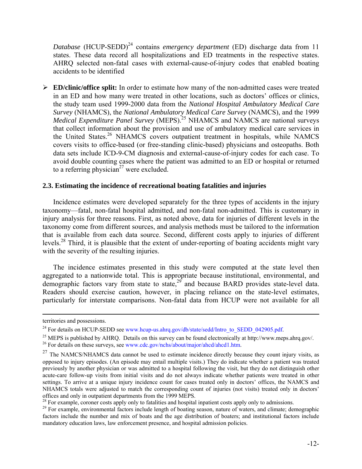*Database* (HCUP-SEDD)<sup>[24](#page-13-0)</sup> contains *emergency department* (ED) discharge data from 11 states. These data record all hospitalizations and ED treatments in the respective states. AHRQ selected non-fatal cases with external-cause-of-injury codes that enabled boating accidents to be identified

¾ **ED/clinic/office split:** In order to estimate how many of the non-admitted cases were treated in an ED and how many were treated in other locations, such as doctors' offices or clinics, the study team used 1999-2000 data from the *National Hospital Ambulatory Medical Care Survey* (NHAMCS), the *National Ambulatory Medical Care Survey* (NAMCS), and the 1999 *Medical Expenditure Panel Survey* (MEPS).<sup>[25](#page-13-1)</sup> NHAMCS and NAMCS are national surveys that collect information about the provision and use of ambulatory medical care services in the United States.<sup>[26](#page-13-2)</sup> NHAMCS covers outpatient treatment in hospitals, while NAMCS covers visits to office-based (or free-standing clinic-based) physicians and osteopaths. Both data sets include ICD-9-CM diagnosis and external-cause-of-injury codes for each case. To avoid double counting cases where the patient was admitted to an ED or hospital or returned to a referring physician<sup>[27](#page-13-3)</sup> were excluded.

#### **2.3. Estimating the incidence of recreational boating fatalities and injuries**

Incidence estimates were developed separately for the three types of accidents in the injury taxonomy—fatal, non-fatal hospital admitted, and non-fatal non-admitted. This is customary in injury analysis for three reasons. First, as noted above, data for injuries of different levels in the taxonomy come from different sources, and analysis methods must be tailored to the information that is available from each data source. Second, different costs apply to injuries of different levels.<sup>[28](#page-13-4)</sup> Third, it is plausible that the extent of under-reporting of boating accidents might vary with the severity of the resulting injuries.

The incidence estimates presented in this study were computed at the state level then aggregated to a nationwide total. This is appropriate because institutional, environmental, and demographic factors vary from state to state,<sup>[29](#page-13-5)</sup> and because BARD provides state-level data. Readers should exercise caution, however, in placing reliance on the state-level estimates, particularly for interstate comparisons. Non-fatal data from HCUP were not available for all

territories and possessions.

<span id="page-13-0"></span><sup>&</sup>lt;sup>24</sup> For details on HCUP-SEDD see www.hcup-us.ahrq.gov/db/state/sedd/Intro\_to\_SEDD\_042905.pdf.

<span id="page-13-1"></span><sup>&</sup>lt;sup>25</sup> MEPS is published by AHRQ. Details on this survey can be found electronically at http://www.meps.ahrq.gov/.

<span id="page-13-2"></span><sup>&</sup>lt;sup>26</sup> For details on these surveys, see www.cdc.gov/nchs/about/major/ahcd/ahcd1.htm.

<span id="page-13-3"></span><sup>&</sup>lt;sup>27</sup> The NAMCS/NHAMCS data cannot be used to estimate incidence directly because they count injury visits, as opposed to injury episodes. (An episode may entail multiple visits.) They do indicate whether a patient was treated previously by another physician or was admitted to a hospital following the visit, but they do not distinguish other acute-care follow-up visits from initial visits and do not always indicate whether patients were treated in other settings. To arrive at a unique injury incidence count for cases treated only in doctors' offices, the NAMCS and NHAMCS totals were adjusted to match the corresponding count of injuries (not visits) treated only in doctors' offices and only in outpatient departments from the 1999 MEPS.

<span id="page-13-4"></span> $2<sup>28</sup>$  For example, coroner costs apply only to fatalities and hospital inpatient costs apply only to admissions.

<span id="page-13-5"></span><sup>&</sup>lt;sup>29</sup> For example, environmental factors include length of boating season, nature of waters, and climate; demographic factors include the number and mix of boats and the age distribution of boaters; and institutional factors include mandatory education laws, law enforcement presence, and hospital admission policies.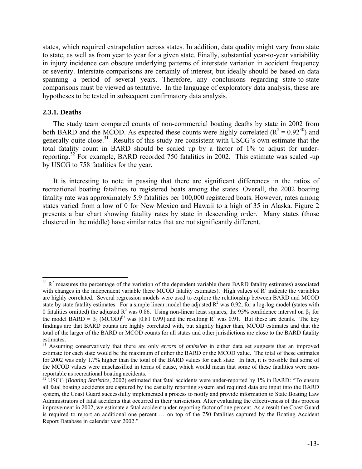states, which required extrapolation across states. In addition, data quality might vary from state to state, as well as from year to year for a given state. Finally, substantial year-to-year variability in injury incidence can obscure underlying patterns of interstate variation in accident frequency or severity. Interstate comparisons are certainly of interest, but ideally should be based on data spanning a period of several years. Therefore, any conclusions regarding state-to-state comparisons must be viewed as tentative. In the language of exploratory data analysis, these are hypotheses to be tested in subsequent confirmatory data analysis.

#### **2.3.1. Deaths**

 $\overline{a}$ 

The study team compared counts of non-commercial boating deaths by state in 2002 from both BARD and the MCOD. As expected these counts were highly correlated ( $R^2 = 0.92^{30}$  $R^2 = 0.92^{30}$  $R^2 = 0.92^{30}$ ) and generally quite close.<sup>[31](#page-14-1)</sup> Results of this study are consistent with USCG's own estimate that the total fatality count in BARD should be scaled up by a factor of 1% to adjust for under-reporting.<sup>[32](#page-14-2)</sup> For example, BARD recorded 750 fatalities in 2002. This estimate was scaled -up by USCG to 758 fatalities for the year.

It is interesting to note in passing that there are significant differences in the ratios of recreational boating fatalities to registered boats among the states. Overall, the 2002 boating fatality rate was approximately 5.9 fatalities per 100,000 registered boats. However, rates among states varied from a low of 0 for New Mexico and Hawaii to a high of 35 in Alaska. Figure 2 presents a bar chart showing fatality rates by state in descending order. Many states (those clustered in the middle) have similar rates that are not significantly different.

<span id="page-14-0"></span> $30 R<sup>2</sup>$  measures the percentage of the variation of the dependent variable (here BARD fatality estimates) associated with changes in the independent variable (here MCOD fatality estimates). High values of  $R^2$  indicate the variables are highly correlated. Several regression models were used to explore the relationship between BARD and MCOD state by state fatality estimates. For a simple linear model the adjusted  $R^2$  was 0.92, for a log-log model (states with 0 fatalities omitted) the adjusted  $R^2$  was 0.86. Using non-linear least squares, the 95% confidence interval on  $\beta_1$  for the model BARD =  $\beta_0$  (MCOD)<sup> $\beta_1$ </sup> was [0.81 0.99] and the resulting R<sup>2</sup> was 0.91. But these are details. The key findings are that BARD counts are highly correlated with, but slightly higher than, MCOD estimates and that the total of the larger of the BARD or MCOD counts for all states and other jurisdictions are close to the BARD fatality estimates.

<span id="page-14-1"></span><sup>&</sup>lt;sup>31</sup> Assuming conservatively that there are only *errors of omission* in either data set suggests that an improved estimate for each state would be the maximum of either the BARD or the MCOD value. The total of these estimates for 2002 was only 1.7% higher than the total of the BARD values for each state. In fact, it is possible that some of the MCOD values were misclassified in terms of cause, which would mean that some of these fatalities were nonreportable as recreational boating accidents.

<span id="page-14-2"></span> $32^{\circ}$  USCG (*Boating Statistics*, 2002) estimated that fatal accidents were under-reported by 1% in BARD: "To ensure all fatal boating accidents are captured by the casualty reporting system and required data are input into the BARD system, the Coast Guard successfully implemented a process to notify and provide information to State Boating Law Administrators of fatal accidents that occurred in their jurisdiction. After evaluating the effectiveness of this process improvement in 2002, we estimate a fatal accident under-reporting factor of one percent. As a result the Coast Guard is required to report an additional one percent … on top of the 750 fatalities captured by the Boating Accident Report Database in calendar year 2002."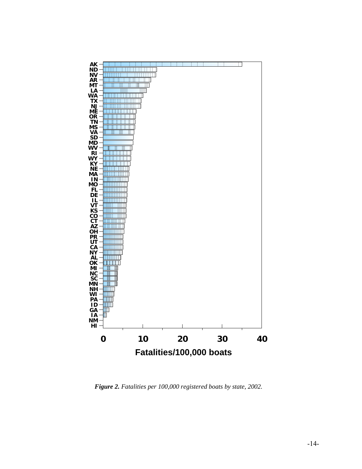

*Figure 2. Fatalities per 100,000 registered boats by state, 2002.*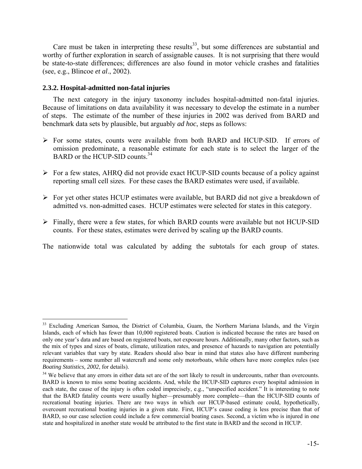Care must be taken in interpreting these results<sup>[33](#page-16-0)</sup>, but some differences are substantial and worthy of further exploration in search of assignable causes. It is not surprising that there would be state-to-state differences; differences are also found in motor vehicle crashes and fatalities (see, e.g., Blincoe *et al*., 2002).

#### **2.3.2. Hospital-admitted non-fatal injuries**

 $\overline{a}$ 

The next category in the injury taxonomy includes hospital-admitted non-fatal injuries. Because of limitations on data availability it was necessary to develop the estimate in a number of steps. The estimate of the number of these injuries in 2002 was derived from BARD and benchmark data sets by plausible, but arguably *ad hoc*, steps as follows:

- ¾ For some states, counts were available from both BARD and HCUP-SID. If errors of omission predominate, a reasonable estimate for each state is to select the larger of the BARD or the HCUP-SID counts. $34$
- $\triangleright$  For a few states, AHRQ did not provide exact HCUP-SID counts because of a policy against reporting small cell sizes. For these cases the BARD estimates were used, if available.
- ¾ For yet other states HCUP estimates were available, but BARD did not give a breakdown of admitted vs. non-admitted cases. HCUP estimates were selected for states in this category.
- ¾ Finally, there were a few states, for which BARD counts were available but not HCUP-SID counts. For these states, estimates were derived by scaling up the BARD counts.

The nationwide total was calculated by adding the subtotals for each group of states.

<span id="page-16-0"></span><sup>&</sup>lt;sup>33</sup> Excluding American Samoa, the District of Columbia, Guam, the Northern Mariana Islands, and the Virgin Islands, each of which has fewer than 10,000 registered boats. Caution is indicated because the rates are based on only one year's data and are based on registered boats, not exposure hours. Additionally, many other factors, such as the mix of types and sizes of boats, climate, utilization rates, and presence of hazards to navigation are potentially relevant variables that vary by state. Readers should also bear in mind that states also have different numbering requirements – some number all watercraft and some only motorboats, while others have more complex rules (see *Boating Statistics, 2002*, for details).

<span id="page-16-1"></span><sup>&</sup>lt;sup>34</sup> We believe that any errors in either data set are of the sort likely to result in undercounts, rather than overcounts. BARD is known to miss some boating accidents. And, while the HCUP-SID captures every hospital admission in each state, the cause of the injury is often coded imprecisely, e.g., "unspecified accident." It is interesting to note that the BARD fatality counts were usually higher—presumably more complete—than the HCUP-SID counts of recreational boating injuries. There are two ways in which our HCUP-based estimate could, hypothetically, overcount recreational boating injuries in a given state. First, HCUP's cause coding is less precise than that of BARD, so our case selection could include a few commercial boating cases. Second, a victim who is injured in one state and hospitalized in another state would be attributed to the first state in BARD and the second in HCUP.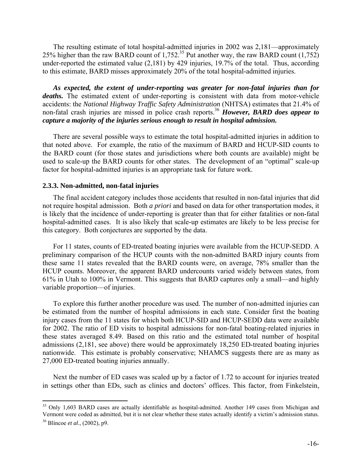The resulting estimate of total hospital-admitted injuries in 2002 was 2,181—approximately 25% higher than the raw BARD count of 1,752.<sup>35</sup> Put another way, the raw BARD count  $(1,752)$ under-reported the estimated value (2,181) by 429 injuries, 19.7% of the total. Thus, according to this estimate, BARD misses approximately 20% of the total hospital-admitted injuries.

*As expected, the extent of under-reporting was greater for non-fatal injuries than for deaths.* The estimated extent of under-reporting is consistent with data from motor-vehicle accidents: the *National Highway Traffic Safety Administration* (NHTSA) estimates that 21.4% of non-fatal crash injuries are missed in police crash reports[.36](#page-17-1) *However, BARD does appear to capture a majority of the injuries serious enough to result in hospital admission.* 

There are several possible ways to estimate the total hospital-admitted injuries in addition to that noted above. For example, the ratio of the maximum of BARD and HCUP-SID counts to the BARD count (for those states and jurisdictions where both counts are available) might be used to scale-up the BARD counts for other states. The development of an "optimal" scale-up factor for hospital-admitted injuries is an appropriate task for future work.

#### **2.3.3. Non-admitted, non-fatal injuries**

 $\overline{a}$ 

The final accident category includes those accidents that resulted in non-fatal injuries that did not require hospital admission. Both *a priori* and based on data for other transportation modes, it is likely that the incidence of under-reporting is greater than that for either fatalities or non-fatal hospital-admitted cases. It is also likely that scale-up estimates are likely to be less precise for this category. Both conjectures are supported by the data.

For 11 states, counts of ED-treated boating injuries were available from the HCUP-SEDD. A preliminary comparison of the HCUP counts with the non-admitted BARD injury counts from these same 11 states revealed that the BARD counts were, on average, 78% smaller than the HCUP counts. Moreover, the apparent BARD undercounts varied widely between states, from 61% in Utah to 100% in Vermont. This suggests that BARD captures only a small—and highly variable proportion—of injuries.

To explore this further another procedure was used. The number of non-admitted injuries can be estimated from the number of hospital admissions in each state. Consider first the boating injury cases from the 11 states for which both HCUP-SID and HCUP-SEDD data were available for 2002. The ratio of ED visits to hospital admissions for non-fatal boating-related injuries in these states averaged 8.49. Based on this ratio and the estimated total number of hospital admissions (2,181, see above) there would be approximately 18,250 ED-treated boating injuries nationwide. This estimate is probably conservative; NHAMCS suggests there are as many as 27,000 ED-treated boating injuries annually.

Next the number of ED cases was scaled up by a factor of 1.72 to account for injuries treated in settings other than EDs, such as clinics and doctors' offices. This factor, from Finkelstein,

<span id="page-17-1"></span><span id="page-17-0"></span><sup>&</sup>lt;sup>35</sup> Only 1,603 BARD cases are actually identifiable as hospital-admitted. Another 149 cases from Michigan and Vermont were coded as admitted, but it is not clear whether these states actually identify a victim's admission status. 36 Blincoe *et al*., (2002), p9.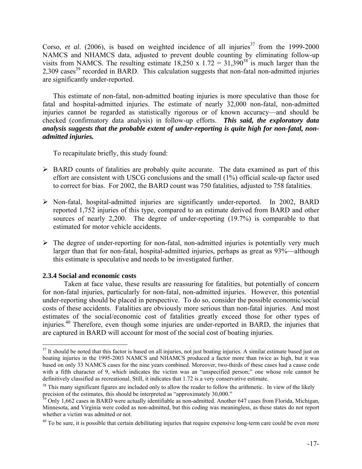Corso, *et al.* (2006), is based on weighted incidence of all injuries<sup>[37](#page-18-0)</sup> from the 1999-2000 NAMCS and NHAMCS data, adjusted to prevent double counting by eliminating follow-up visits from NAMCS. The resulting estimate 18,250 x 1.72 =  $31,390^{38}$  $31,390^{38}$  $31,390^{38}$  is much larger than the  $2,309$  cases<sup>[39](#page-18-2)</sup> recorded in BARD. This calculation suggests that non-fatal non-admitted injuries are significantly under-reported.

This estimate of non-fatal, non-admitted boating injuries is more speculative than those for fatal and hospital-admitted injuries. The estimate of nearly 32,000 non-fatal, non-admitted injuries cannot be regarded as statistically rigorous or of known accuracy—and should be checked (confirmatory data analysis) in follow-up efforts. *This said, the exploratory data analysis suggests that the probable extent of under-reporting is quite high for non-fatal, nonadmitted injuries.* 

To recapitulate briefly, this study found:

- $\triangleright$  BARD counts of fatalities are probably quite accurate. The data examined as part of this effort are consistent with USCG conclusions and the small (1%) official scale-up factor used to correct for bias. For 2002, the BARD count was 750 fatalities, adjusted to 758 fatalities.
- ¾ Non-fatal, hospital-admitted injuries are significantly under-reported. In 2002, BARD reported 1,752 injuries of this type, compared to an estimate derived from BARD and other sources of nearly 2,200. The degree of under-reporting (19.7%) is comparable to that estimated for motor vehicle accidents.
- $\triangleright$  The degree of under-reporting for non-fatal, non-admitted injuries is potentially very much larger than that for non-fatal, hospital-admitted injuries, perhaps as great as 93%—although this estimate is speculative and needs to be investigated further.

#### **2.3.4 Social and economic costs**

 $\overline{a}$ 

 Taken at face value, these results are reassuring for fatalities, but potentially of concern for non-fatal injuries, particularly for non-fatal, non-admitted injuries. However, this potential under-reporting should be placed in perspective. To do so, consider the possible economic/social costs of these accidents. Fatalities are obviously more serious than non-fatal injuries. And most estimates of the social/economic cost of fatalities greatly exceed those for other types of injuries.<sup>[40](#page-18-3)</sup> Therefore, even though some injuries are under-reported in BARD, the injuries that are captured in BARD will account for most of the social cost of boating injuries.

<span id="page-18-0"></span> $37$  It should be noted that this factor is based on all injuries, not just boating injuries. A similar estimate based just on boating injuries in the 1995-2003 NAMCS and NHAMCS produced a factor more than twice as high, but it was based on only 33 NAMCS cases for the nine years combined. Moreover, two-thirds of these cases had a cause code with a fifth character of 9, which indicates the victim was an "unspecified person;" one whose role cannot be definitively classified as recreational. Still, it indicates that 1.72 is a very conservative estimate.

<span id="page-18-1"></span> $38$  This many significant figures are included only to allow the reader to follow the arithmetic. In view of the likely precision of the estimates, this should be interpreted as "approximately 30,000."<br><sup>39</sup> Only 1.662 eases in PAPD were actually identifields as non-admitted. Another

<span id="page-18-2"></span>Only 1,662 cases in BARD were actually identifiable as non-admitted. Another 647 cases from Florida, Michigan, Minnesota, and Virginia were coded as non-admitted, but this coding was meaningless, as these states do not report whether a victim was admitted or not.

<span id="page-18-3"></span> $40$  To be sure, it is possible that certain debilitating injuries that require expensive long-term care could be even more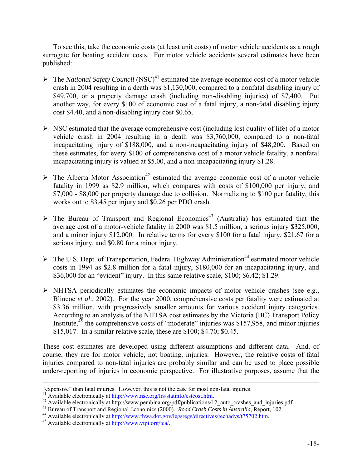To see this, take the economic costs (at least unit costs) of motor vehicle accidents as a rough surrogate for boating accident costs. For motor vehicle accidents several estimates have been published:

- $\triangleright$  The *National Safety Council* (NSC)<sup>[41](#page-19-0)</sup> estimated the average economic cost of a motor vehicle crash in 2004 resulting in a death was \$1,130,000, compared to a nonfatal disabling injury of \$49,700, or a property damage crash (including non-disabling injuries) of \$7,400. Put another way, for every \$100 of economic cost of a fatal injury, a non-fatal disabling injury cost \$4.40, and a non-disabling injury cost \$0.65.
- $\triangleright$  NSC estimated that the average comprehensive cost (including lost quality of life) of a motor vehicle crash in 2004 resulting in a death was \$3,760,000, compared to a non-fatal incapacitating injury of \$188,000, and a non-incapacitating injury of \$48,200. Based on these estimates, for every \$100 of comprehensive cost of a motor vehicle fatality, a nonfatal incapacitating injury is valued at \$5.00, and a non-incapacitating injury \$1.28.
- $\triangleright$  The Alberta Motor Association<sup>[42](#page-19-1)</sup> estimated the average economic cost of a motor vehicle fatality in 1999 as \$2.9 million, which compares with costs of \$100,000 per injury, and \$7,000 - \$8,000 per property damage due to collision. Normalizing to \$100 per fatality, this works out to \$3.45 per injury and \$0.26 per PDO crash.
- $\triangleright$  The Bureau of Transport and Regional Economics<sup>[43](#page-19-2)</sup> (Australia) has estimated that the average cost of a motor-vehicle fatality in 2000 was \$1.5 million, a serious injury \$325,000, and a minor injury \$12,000. In relative terms for every \$100 for a fatal injury, \$21.67 for a serious injury, and \$0.80 for a minor injury.
- $\triangleright$  The U.S. Dept. of Transportation, Federal Highway Administration<sup>[44](#page-19-3)</sup> estimated motor vehicle costs in 1994 as \$2.8 million for a fatal injury, \$180,000 for an incapacitating injury, and \$36,000 for an "evident" injury. In this same relative scale, \$100; \$6.42; \$1.29.
- $\triangleright$  NHTSA periodically estimates the economic impacts of motor vehicle crashes (see e.g., Blincoe *et al*., 2002). For the year 2000, comprehensive costs per fatality were estimated at \$3.36 million, with progressively smaller amounts for various accident injury categories. According to an analysis of the NHTSA cost estimates by the Victoria (BC) Transport Policy Institute,  $45$  the comprehensive costs of "moderate" injuries was \$157,958, and minor injuries \$15,017. In a similar relative scale, these are \$100; \$4.70; \$0.45.

These cost estimates are developed using different assumptions and different data. And, of course, they are for motor vehicle, not boating, injuries. However, the relative costs of fatal injuries compared to non-fatal injuries are probably similar and can be used to place possible under-reporting of injuries in economic perspective. For illustrative purposes, assume that the

 <sup>&</sup>quot;expensive" than fatal injuries. However, this is not the case for most non-fatal injuries.

<span id="page-19-0"></span> $41$  Available electronically at http://www.nsc.org/lrs/statinfo/estcost.htm.

<span id="page-19-1"></span><sup>&</sup>lt;sup>42</sup> Available electronically at http://www.pembina.org/pdf/publications/12\_auto\_crashes\_and\_injuries.pdf.

<span id="page-19-2"></span><sup>&</sup>lt;sup>43</sup> Bureau of Transport and Regional Economics (2000). *Road Crash Costs in Australia*, Report, 102.

<span id="page-19-3"></span><sup>&</sup>lt;sup>44</sup> Available electronically at http://www.fhwa.dot.gov/legsregs/directives/techadvs/t75702.htm.

<span id="page-19-4"></span> $45$  Available electronically at http://www.vtpi.org/tca/.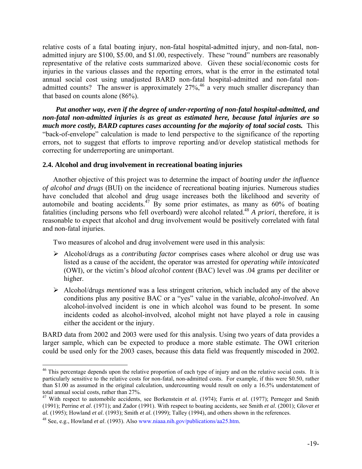relative costs of a fatal boating injury, non-fatal hospital-admitted injury, and non-fatal, nonadmitted injury are \$100, \$5.00, and \$1.00, respectively. These "round" numbers are reasonably representative of the relative costs summarized above. Given these social/economic costs for injuries in the various classes and the reporting errors, what is the error in the estimated total annual social cost using unadjusted BARD non-fatal hospital-admitted and non-fatal nonadmitted counts? The answer is approximately  $27\%$ ,<sup>[46](#page-20-0)</sup> a very much smaller discrepancy than that based on counts alone (86%).

*Put another way, even if the degree of under-reporting of non-fatal hospital-admitted, and non-fatal non-admitted injuries is as great as estimated here, because fatal injuries are so much more costly, BARD captures cases accounting for the majority of total social costs.* This "back-of-envelope" calculation is made to lend perspective to the significance of the reporting errors, not to suggest that efforts to improve reporting and/or develop statistical methods for correcting for underreporting are unimportant.

#### **2.4. Alcohol and drug involvement in recreational boating injuries**

Another objective of this project was to determine the impact of *boating under the influence of alcohol and drugs* (BUI) on the incidence of recreational boating injuries. Numerous studies have concluded that alcohol and drug usage increases both the likelihood and severity of automobile and boating accidents.<sup>[47](#page-20-1)</sup> By some prior estimates, as many as  $60\%$  of boating fatalities (including persons who fell overboard) were alcohol related.<sup>[48](#page-20-2)</sup> A priori, therefore, it is reasonable to expect that alcohol and drug involvement would be positively correlated with fatal and non-fatal injuries.

Two measures of alcohol and drug involvement were used in this analysis:

- ¾ Alcohol/drugs as a *contributing factor* comprises cases where alcohol or drug use was listed as a cause of the accident, the operator was arrested for *operating while intoxicated* (OWI), or the victim's *blood alcohol content* (BAC) level was .04 grams per deciliter or higher.
- ¾ Alcohol/drugs *mentioned* was a less stringent criterion, which included any of the above conditions plus any positive BAC or a "yes" value in the variable, *alcohol-involved*. An alcohol-involved incident is one in which alcohol was found to be present. In some incidents coded as alcohol-involved, alcohol might not have played a role in causing either the accident or the injury.

BARD data from 2002 and 2003 were used for this analysis. Using two years of data provides a larger sample, which can be expected to produce a more stable estimate. The OWI criterion could be used only for the 2003 cases, because this data field was frequently miscoded in 2002.

<span id="page-20-0"></span> $46$  This percentage depends upon the relative proportion of each type of injury and on the relative social costs. It is particularly sensitive to the relative costs for non-fatal, non-admitted costs. For example, if this were \$0.50, rather than \$1.00 as assumed in the original calculation, undercounting would result on only a 16.5% understatement of total annual social costs, rather than 27%.

<span id="page-20-1"></span><sup>&</sup>lt;sup>47</sup> With respect to automobile accidents, see Borkenstein *et al.* (1974); Farris *et al.* (1977); Perneger and Smith (1991); Perrine *et al*. (1971); and Zador (1991). With respect to boating accidents, see Smith *et al*. (2001); Glover *et al.* (1995); Howland *et al*. (1993); Smith *et al*. (1999); Talley (1994), and others shown in the references.

<span id="page-20-2"></span><sup>&</sup>lt;sup>48</sup> See, e.g., Howland *et al.* (1993). Also www.niaaa.nih.gov/publications/aa25.htm.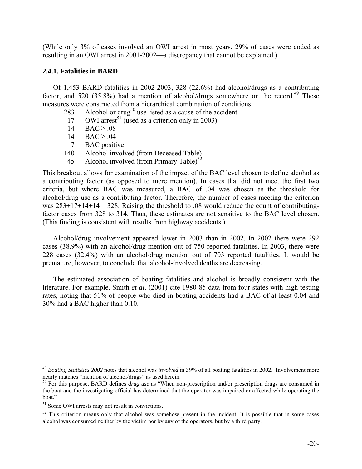(While only 3% of cases involved an OWI arrest in most years, 29% of cases were coded as resulting in an OWI arrest in 2001-2002—a discrepancy that cannot be explained.)

#### **2.4.1. Fatalities in BARD**

 Of 1,453 BARD fatalities in 2002-2003, 328 (22.6%) had alcohol/drugs as a contributing factor, and 520 (35.8%) had a mention of alcohol/drugs somewhere on the record.<sup>[49](#page-21-0)</sup> These measures were constructed from a hierarchical combination of conditions:

- 283 Alcohol or drug<sup>[50](#page-21-1)</sup> use listed as a cause of the accident
- 17 OWI arrest<sup>[51](#page-21-2)</sup> (used as a criterion only in 2003)
	- 14 BAC  $\geq .08$
	- 14 BAC  $\geq .04$
	- 7 BAC positive
	- 140 Alcohol involved (from Deceased Table)
- 45 Alcohol involved (from Primary Table)<sup>[52](#page-21-3)</sup>

This breakout allows for examination of the impact of the BAC level chosen to define alcohol as a contributing factor (as opposed to mere mention). In cases that did not meet the first two criteria, but where BAC was measured, a BAC of .04 was chosen as the threshold for alcohol/drug use as a contributing factor. Therefore, the number of cases meeting the criterion was  $283+17+14+14 = 328$ . Raising the threshold to .08 would reduce the count of contributingfactor cases from 328 to 314. Thus, these estimates are not sensitive to the BAC level chosen. (This finding is consistent with results from highway accidents.)

Alcohol/drug involvement appeared lower in 2003 than in 2002. In 2002 there were 292 cases (38.9%) with an alcohol/drug mention out of 750 reported fatalities. In 2003, there were 228 cases (32.4%) with an alcohol/drug mention out of 703 reported fatalities. It would be premature, however, to conclude that alcohol-involved deaths are decreasing.

The estimated association of boating fatalities and alcohol is broadly consistent with the literature. For example, Smith *et al*. (2001) cite 1980-85 data from four states with high testing rates, noting that 51% of people who died in boating accidents had a BAC of at least 0.04 and 30% had a BAC higher than 0.10.

<span id="page-21-0"></span><sup>&</sup>lt;sup>49</sup> Boating Statistics 2002 notes that alcohol was *involved* in 39% of all boating fatalities in 2002. Involvement more nearly matches "mention of alcohol/drugs" as used herein.

<span id="page-21-1"></span><sup>&</sup>lt;sup>50</sup> For this purpose, BARD defines *drug use* as "When non-prescription and/or prescription drugs are consumed in the boat and the investigating official has determined that the operator was impaired or affected while operating the boat."

<span id="page-21-2"></span> $51$  Some OWI arrests may not result in convictions.

<span id="page-21-3"></span> $52$  This criterion means only that alcohol was somehow present in the incident. It is possible that in some cases alcohol was consumed neither by the victim nor by any of the operators, but by a third party.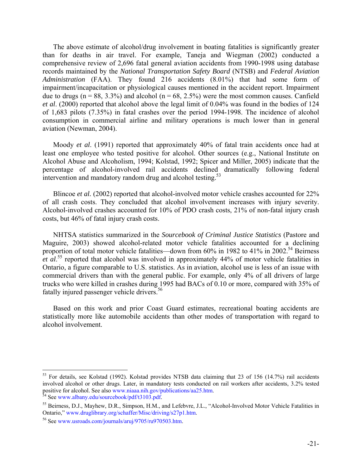The above estimate of alcohol/drug involvement in boating fatalities is significantly greater than for deaths in air travel. For example, Taneja and Wiegman (2002) conducted a comprehensive review of 2,696 fatal general aviation accidents from 1990-1998 using database records maintained by the *National Transportation Safety Board* (NTSB) and *Federal Aviation Administration* (FAA). They found 216 accidents (8.01%) that had some form of impairment/incapacitation or physiological causes mentioned in the accident report. Impairment due to drugs ( $n = 88$ , 3.3%) and alcohol ( $n = 68$ , 2.5%) were the most common causes. Canfield *et al*. (2000) reported that alcohol above the legal limit of 0.04% was found in the bodies of 124 of 1,683 pilots (7.35%) in fatal crashes over the period 1994-1998. The incidence of alcohol consumption in commercial airline and military operations is much lower than in general aviation (Newman, 2004).

Moody *et al*. (1991) reported that approximately 40% of fatal train accidents once had at least one employee who tested positive for alcohol. Other sources (e.g., National Institute on Alcohol Abuse and Alcoholism, 1994; Kolstad, 1992; Spicer and Miller, 2005) indicate that the percentage of alcohol-involved rail accidents declined dramatically following federal intervention and mandatory random drug and alcohol testing. $53$ 

Blincoe *et al.* (2002) reported that alcohol-involved motor vehicle crashes accounted for 22% of all crash costs. They concluded that alcohol involvement increases with injury severity. Alcohol-involved crashes accounted for 10% of PDO crash costs, 21% of non-fatal injury crash costs, but 46% of fatal injury crash costs.

NHTSA statistics summarized in the *Sourcebook of Criminal Justice Statistics* (Pastore and Maguire, 2003) showed alcohol-related motor vehicle fatalities accounted for a declining proportion of total motor vehicle fatalities—down from  $60\%$  in 1982 to 41% in 2002.<sup>54</sup> Beirness *et al.*<sup>55</sup> reported that alcohol was involved in approximately 44% of motor vehicle fatalities in Ontario, a figure comparable to U.S. statistics. As in aviation, alcohol use is less of an issue with commercial drivers than with the general public. For example, only 4% of all drivers of large trucks who were killed in crashes during 1995 had BACs of 0.10 or more, compared with 35% of fatally injured passenger vehicle drivers.<sup>56</sup>

Based on this work and prior Coast Guard estimates, recreational boating accidents are statistically more like automobile accidents than other modes of transportation with regard to alcohol involvement.

<span id="page-22-0"></span> $53$  For details, see Kolstad (1992). Kolstad provides NTSB data claiming that 23 of 156 (14.7%) rail accidents involved alcohol or other drugs. Later, in mandatory tests conducted on rail workers after accidents, 3.2% tested positive for alcohol. See also [www.niaaa.nih.gov/publications/aa25.htm.](http://www.niaaa.nih.gov/publications/aa25.htm) <sup>54</sup> See www.albany.edu/sourcebook/pdf/t3103.pdf.

<span id="page-22-1"></span>

<span id="page-22-2"></span><sup>&</sup>lt;sup>55</sup> Beirness, D.J., Mayhew, D.R., Simpson, H.M., and Lefebvre, J.L., "Alcohol-Involved Motor Vehicle Fatalities in Ontario," www.druglibrary.org/schaffer/Misc/driving/s27p1.htm.

<span id="page-22-3"></span> $<sup>56</sup>$  See www.usroads.com/journals/aruj/9705/ru970503.htm.</sup>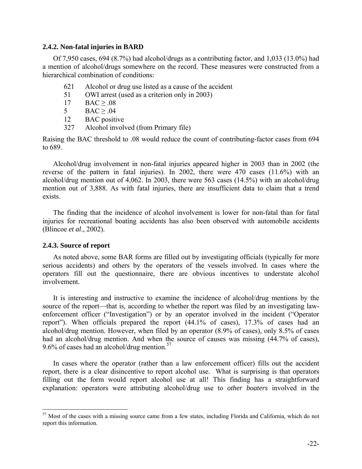#### **2.4.2. Non-fatal injuries in BARD**

Of 7,950 cases, 694 (8.7%) had alcohol/drugs as a contributing factor, and 1,033 (13.0%) had a mention of alcohol/drugs somewhere on the record. These measures were constructed from a hierarchical combination of conditions:

- 621 Alcohol or drug use listed as a cause of the accident
- 51 OWI arrest (used as a criterion only in 2003)
- 17  $\text{BAC} \geq .08$
- $5 \qquad \text{BAC} > .04$
- 12 BAC positive
- 327 Alcohol involved (from Primary file)

Raising the BAC threshold to .08 would reduce the count of contributing-factor cases from 694 to 689.

Alcohol/drug involvement in non-fatal injuries appeared higher in 2003 than in 2002 (the reverse of the pattern in fatal injuries). In 2002, there were 470 cases (11.6%) with an alcohol/drug mention out of 4,062. In 2003, there were 563 cases (14.5%) with an alcohol/drug mention out of 3,888. As with fatal injuries, there are insufficient data to claim that a trend exists.

The finding that the incidence of alcohol involvement is lower for non-fatal than for fatal injuries for recreational boating accidents has also been observed with automobile accidents (Blincoe *et al*., 2002).

#### **2.4.3. Source of report**

1

As noted above, some BAR forms are filled out by investigating officials (typically for more serious accidents) and others by the operators of the vessels involved. In cases where the operators fill out the questionnaire, there are obvious incentives to understate alcohol involvement.

It is interesting and instructive to examine the incidence of alcohol/drug mentions by the source of the report—that is, according to whether the report was filed by an investigating lawenforcement officer ("Investigation") or by an operator involved in the incident ("Operator report"). When officials prepared the report (44.1% of cases), 17.3% of cases had an alcohol/drug mention. However, when filed by an operator (8.9% of cases), only 8.5% of cases had an alcohol/drug mention. And when the source of causes was missing (44.7% of cases), 9.6% of cases had an alcohol/drug mention. $57$ 

In cases where the operator (rather than a law enforcement officer) fills out the accident report, there is a clear disincentive to report alcohol use. What is surprising is that operators filling out the form would report alcohol use at all! This finding has a straightforward explanation: operators were attributing alcohol/drug use to *other boaters* involved in the

<span id="page-23-0"></span> $57$  Most of the cases with a missing source came from a few states, including Florida and California, which do not report this information.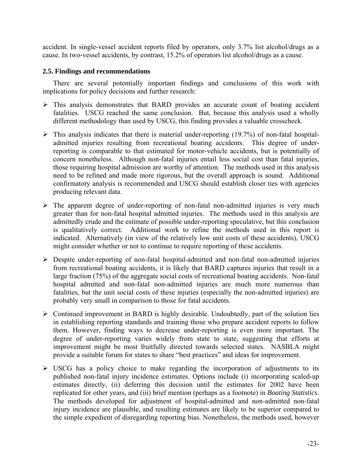accident. In single-vessel accident reports filed by operators, only 3.7% list alcohol/drugs as a cause. In two-vessel accidents, by contrast, 15.2% of operators list alcohol/drugs as a cause.

#### **2.5. Findings and recommendations**

There are several potentially important findings and conclusions of this work with implications for policy decisions and further research:

- $\triangleright$  This analysis demonstrates that BARD provides an accurate count of boating accident fatalities. USCG reached the same conclusion. But, because this analysis used a wholly different methodology than used by USCG, this finding provides a valuable crosscheck.
- $\triangleright$  This analysis indicates that there is material under-reporting (19.7%) of non-fatal hospitaladmitted injuries resulting from recreational boating accidents. This degree of underreporting is comparable to that estimated for motor-vehicle accidents, but is potentially of concern nonetheless. Although non-fatal injuries entail less social cost than fatal injuries, those requiring hospital admission are worthy of attention. The methods used in this analysis need to be refined and made more rigorous, but the overall approach is sound. Additional confirmatory analysis is recommended and USCG should establish closer ties with agencies producing relevant data.
- $\triangleright$  The apparent degree of under-reporting of non-fatal non-admitted injuries is very much greater than for non-fatal hospital admitted injuries. The methods used in this analysis are admittedly crude and the estimate of possible under-reporting speculative, but this conclusion is qualitatively correct. Additional work to refine the methods used in this report is indicated. Alternatively (in view of the relatively low unit costs of these accidents), USCG might consider whether or not to continue to require reporting of these accidents.
- ¾ Despite under-reporting of non-fatal hospital-admitted and non-fatal non-admitted injuries from recreational boating accidents, it is likely that BARD captures injuries that result in a large fraction (75%) of the aggregate social costs of recreational boating accidents. Non-fatal hospital admitted and non-fatal non-admitted injuries are much more numerous than fatalities, but the unit social costs of these injuries (especially the non-admitted injuries) are probably very small in comparison to those for fatal accidents.
- $\triangleright$  Continued improvement in BARD is highly desirable. Undoubtedly, part of the solution lies in establishing reporting standards and training those who prepare accident reports to follow them. However, finding ways to decrease under-reporting is even more important. The degree of under-reporting varies widely from state to state, suggesting that efforts at improvement might be most fruitfully directed towards selected states. NASBLA might provide a suitable forum for states to share "best practices" and ideas for improvement.
- $\triangleright$  USCG has a policy choice to make regarding the incorporation of adjustments to its published non-fatal injury incidence estimates. Options include (i) incorporating scaled-up estimates directly, (ii) deferring this decision until the estimates for 2002 have been replicated for other years, and (iii) brief mention (perhaps as a footnote) in *Boating Statistics*. The methods developed for adjustment of hospital-admitted and non-admitted non-fatal injury incidence are plausible, and resulting estimates are likely to be superior compared to the simple expedient of disregarding reporting bias. Nonetheless, the methods used, however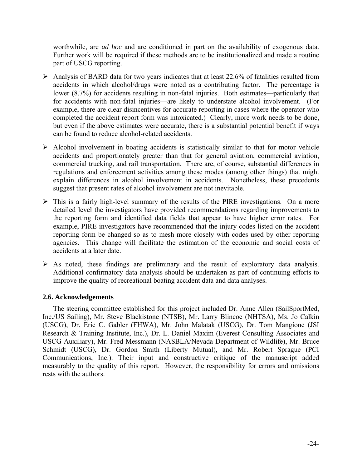worthwhile, are *ad hoc* and are conditioned in part on the availability of exogenous data. Further work will be required if these methods are to be institutionalized and made a routine part of USCG reporting.

- $\triangleright$  Analysis of BARD data for two years indicates that at least 22.6% of fatalities resulted from accidents in which alcohol/drugs were noted as a contributing factor. The percentage is lower (8.7%) for accidents resulting in non-fatal injuries. Both estimates—particularly that for accidents with non-fatal injuries—are likely to understate alcohol involvement. (For example, there are clear disincentives for accurate reporting in cases where the operator who completed the accident report form was intoxicated.) Clearly, more work needs to be done, but even if the above estimates were accurate, there is a substantial potential benefit if ways can be found to reduce alcohol-related accidents.
- $\triangleright$  Alcohol involvement in boating accidents is statistically similar to that for motor vehicle accidents and proportionately greater than that for general aviation, commercial aviation, commercial trucking, and rail transportation. There are, of course, substantial differences in regulations and enforcement activities among these modes (among other things) that might explain differences in alcohol involvement in accidents. Nonetheless, these precedents suggest that present rates of alcohol involvement are not inevitable.
- $\triangleright$  This is a fairly high-level summary of the results of the PIRE investigations. On a more detailed level the investigators have provided recommendations regarding improvements to the reporting form and identified data fields that appear to have higher error rates. For example, PIRE investigators have recommended that the injury codes listed on the accident reporting form be changed so as to mesh more closely with codes used by other reporting agencies. This change will facilitate the estimation of the economic and social costs of accidents at a later date.
- $\triangleright$  As noted, these findings are preliminary and the result of exploratory data analysis. Additional confirmatory data analysis should be undertaken as part of continuing efforts to improve the quality of recreational boating accident data and data analyses.

### **2.6. Acknowledgements**

The steering committee established for this project included Dr. Anne Allen (SailSportMed, Inc./US Sailing), Mr. Steve Blackistone (NTSB), Mr. Larry Blincoe (NHTSA), Ms. Jo Calkin (USCG), Dr. Eric C. Gabler (FHWA), Mr. John Malatak (USCG), Dr. Tom Mangione (JSI Research & Training Institute, Inc.), Dr. L. Daniel Maxim (Everest Consulting Associates and USCG Auxiliary), Mr. Fred Messmann (NASBLA/Nevada Department of Wildlife), Mr. Bruce Schmidt (USCG), Dr. Gordon Smith (Liberty Mutual), and Mr. Robert Sprague (PCI Communications, Inc.). Their input and constructive critique of the manuscript added measurably to the quality of this report. However, the responsibility for errors and omissions rests with the authors.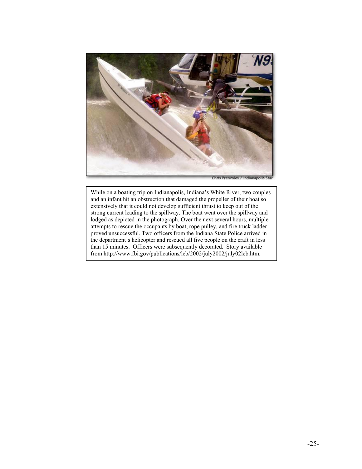

While on a boating trip on Indianapolis, Indiana's White River, two couples and an infant hit an obstruction that damaged the propeller of their boat so extensively that it could not develop sufficient thrust to keep out of the strong current leading to the spillway. The boat went over the spillway and lodged as depicted in the photograph. Over the next several hours, multiple attempts to rescue the occupants by boat, rope pulley, and fire truck ladder proved unsuccessful. Two officers from the Indiana State Police arrived in the department's helicopter and rescued all five people on the craft in less than 15 minutes. Officers were subsequently decorated. Story available from <http://www.fbi.gov/publications/leb/2002/july2002/july02leb.htm.>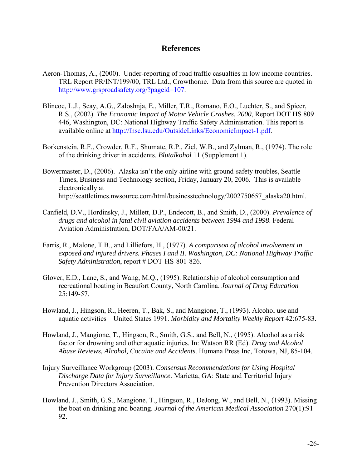## **References**

- Aeron-Thomas, A., (2000). Under-reporting of road traffic casualties in low income countries. TRL Report PR/INT/199/00, TRL Ltd., Crowthorne. Data from this source are quoted in [http://www.grsproadsafety.org/?pageid=107.](http://www.grsproadsafety.org/?pageid=107)
- Blincoe, L.J., Seay, A.G., Zaloshnja, E., Miller, T.R., Romano, E.O., Luchter, S., and Spicer, R.S., (2002). *The Economic Impact of Motor Vehicle Crashes, 2000*, Report DOT HS 809 446, Washington, DC: National Highway Traffic Safety Administration. This report is available online at [http://lhsc.lsu.edu/OutsideLinks/EconomicImpact-1.pdf.](http://lhsc.lsu.edu/OutsideLinks/EconomicImpact-1.pdf)
- Borkenstein, R.F., Crowder, R.F., Shumate, R.P., Ziel, W.B., and Zylman, R., (1974). The role of the drinking driver in accidents. *Blutalkohol* 11 (Supplement 1).
- Bowermaster, D., (2006). Alaska isn't the only airline with ground-safety troubles, Seattle Times, Business and Technology section, Friday, January 20, 2006. This is available electronically at http://seattletimes.nwsource.com/html/businesstechnology/2002750657\_alaska20.html.
- Canfield, D.V., Hordinsky, J., Millett, D.P., Endecott, B., and Smith, D., (2000). *Prevalence of drugs and alcohol in fatal civil aviation accidents between 1994 and 1998*. Federal Aviation Administration, DOT/FAA/AM-00/21.
- Farris, R., Malone, T.B., and Lilliefors, H., (1977). *A comparison of alcohol involvement in exposed and injured drivers. Phases I and II. Washington, DC: National Highway Traffic Safety Administration*, report # DOT-HS-801-826.
- Glover, E.D., Lane, S., and Wang, M.Q., (1995). Relationship of alcohol consumption and recreational boating in Beaufort County, North Carolina. *Journal of Drug Education* 25:149-57.
- Howland, J., Hingson, R., Heeren, T., Bak, S., and Mangione, T., (1993). Alcohol use and aquatic activities – United States 1991. *Morbidity and Mortality Weekly Report* 42:675-83.
- Howland, J., Mangione, T., Hingson, R., Smith, G.S., and Bell, N., (1995). Alcohol as a risk factor for drowning and other aquatic injuries. In: Watson RR (Ed). *Drug and Alcohol Abuse Reviews, Alcohol, Cocaine and Accidents*. Humana Press Inc, Totowa, NJ, 85-104.
- Injury Surveillance Workgroup (2003). *Consensus Recommendations for Using Hospital Discharge Data for Injury Surveillance*. Marietta, GA: State and Territorial Injury Prevention Directors Association.
- Howland, J., Smith, G.S., Mangione, T., Hingson, R., DeJong, W., and Bell, N., (1993). Missing the boat on drinking and boating. *Journal of the American Medical Association* 270(1):91- 92.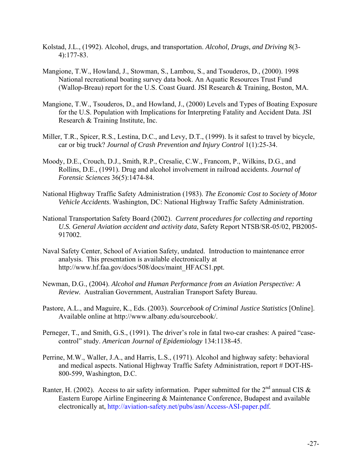- Kolstad, J.L., (1992). Alcohol, drugs, and transportation. *Alcohol, Drugs, and Driving* 8(3- 4):177-83.
- Mangione, T.W., Howland, J., Stowman, S., Lambou, S., and Tsouderos, D., (2000). 1998 National recreational boating survey data book. An Aquatic Resources Trust Fund (Wallop-Breau) report for the U.S. Coast Guard. JSI Research & Training, Boston, MA.
- Mangione, T.W., Tsouderos, D., and Howland, J., (2000) Levels and Types of Boating Exposure for the U.S. Population with Implications for Interpreting Fatality and Accident Data. JSI Research & Training Institute, Inc.
- Miller, T.R., Spicer, R.S., Lestina, D.C., and Levy, D.T., (1999). Is it safest to travel by bicycle, car or big truck? *Journal of Crash Prevention and Injury Control* 1(1):25-34.
- Moody, D.E., Crouch, D.J., Smith, R.P., Cresalie, C.W., Francom, P., Wilkins, D.G., and Rollins, D.E., (1991). Drug and alcohol involvement in railroad accidents. *Journal of Forensic Sciences* 36(5):1474-84.
- National Highway Traffic Safety Administration (1983). *The Economic Cost to Society of Motor Vehicle Accidents*. Washington, DC: National Highway Traffic Safety Administration.
- National Transportation Safety Board (2002). *Current procedures for collecting and reporting U.S. General Aviation accident and activity data*, Safety Report NTSB/SR-05/02, PB2005- 917002.
- Naval Safety Center, School of Aviation Safety, undated. Introduction to maintenance error analysis. This presentation is available electronically at http://www.hf.faa.gov/docs/508/docs/maint\_HFACS1.ppt.
- Newman, D.G., (2004). *Alcohol and Human Performance from an Aviation Perspective: A Review.* Australian Government, Australian Transport Safety Bureau.
- Pastore, A.L., and Maguire, K., Eds. (2003). *Sourcebook of Criminal Justice Statistics* [Online]. Available online at http://www.albany.edu/sourcebook/.
- Perneger, T., and Smith, G.S., (1991). The driver's role in fatal two-car crashes: A paired "casecontrol" study. *American Journal of Epidemiology* 134:1138-45.
- Perrine, M.W., Waller, J.A., and Harris, L.S., (1971). Alcohol and highway safety: behavioral and medical aspects. National Highway Traffic Safety Administration, report # DOT-HS-800-599, Washington, D.C.
- Ranter, H. (2002). Access to air safety information. Paper submitted for the  $2^{nd}$  annual CIS & Eastern Europe Airline Engineering & Maintenance Conference, Budapest and available electronically at,<http://aviation-safety.net/pubs/asn/Access-ASI-paper.pdf>.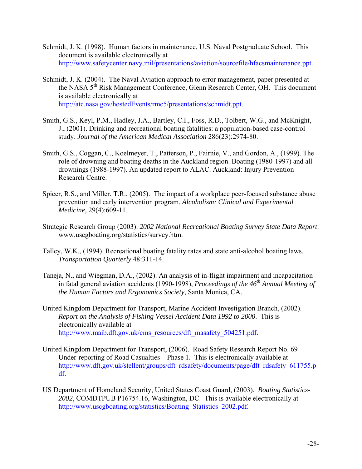- Schmidt, J. K. (1998). Human factors in maintenance, U.S. Naval Postgraduate School. This document is available electronically at [http://www.safetycenter.navy.mil/presentations/aviation/sourcefile/hfacsmaintenance.ppt.](http://www.safetycenter.navy.mil/presentations/aviation/sourcefile/hfacsmaintenance.ppt)
- Schmidt, J. K. (2004). The Naval Aviation approach to error management, paper presented at the NASA 5<sup>th</sup> Risk Management Conference, Glenn Research Center, OH. This document is available electronically at [http://atc.nasa.gov/hostedEvents/rmc5/presentations/schmidt.ppt.](http://atc.nasa.gov/hostedEvents/rmc5/presentations/schmidt.ppt)
- Smith, G.S., Keyl, P.M., Hadley, J.A., Bartley, C.I., Foss, R.D., Tolbert, W.G., and McKnight, J., (2001). Drinking and recreational boating fatalities: a population-based case-control study. *Journal of the American Medical Association* 286(23):2974-80.
- Smith, G.S., Coggan, C., Koelmeyer, T., Patterson, P., Fairnie, V., and Gordon, A., (1999). The role of drowning and boating deaths in the Auckland region. Boating (1980-1997) and all drownings (1988-1997). An updated report to ALAC. Auckland: Injury Prevention Research Centre.
- Spicer, R.S., and Miller, T.R., (2005). The impact of a workplace peer-focused substance abuse prevention and early intervention program. *Alcoholism: Clinical and Experimental Medicine*, 29(4):609-11.
- Strategic Research Group (2003). *2002 National Recreational Boating Survey State Data Report*. www.uscgboating.org/statistics/survey.htm.
- Talley, W.K., (1994). Recreational boating fatality rates and state anti-alcohol boating laws. *Transportation Quarterly* 48:311-14.
- Taneja, N., and Wiegman, D.A., (2002). An analysis of in-flight impairment and incapacitation in fatal general aviation accidents (1990-1998), *Proceedings of the 46<sup>th</sup> Annual Meeting of the Human Factors and Ergonomics Society*, Santa Monica, CA.
- United Kingdom Department for Transport, Marine Accident Investigation Branch, (2002). *Report on the Analysis of Fishing Vessel Accident Data 1992 to 2000*. This is electronically available at [http://www.maib.dft.gov.uk/cms\\_resources/dft\\_masafety\\_504251.pdf.](http://www.maib.dft.gov.uk/cms_resources/dft_masafety_504251.pdf)
- United Kingdom Department for Transport, (2006). Road Safety Research Report No. 69 Under-reporting of Road Casualties – Phase 1. This is electronically available at [http://www.dft.gov.uk/stellent/groups/dft\\_rdsafety/documents/page/dft\\_rdsafety\\_611755.p](http://www.dft.gov.uk/stellent/groups/dft_rdsafety/documents/page/dft_rdsafety_611755.pdf) [df.](http://www.dft.gov.uk/stellent/groups/dft_rdsafety/documents/page/dft_rdsafety_611755.pdf)
- US Department of Homeland Security, United States Coast Guard, (2003). *Boating Statistics*-*2002*, COMDTPUB P16754.16, Washington, DC. This is available electronically at [http://www.uscgboating.org/statistics/Boating\\_Statistics\\_2002.pdf.](http://www.uscgboating.org/statistics/Boating_Statistics_2002.pdf)